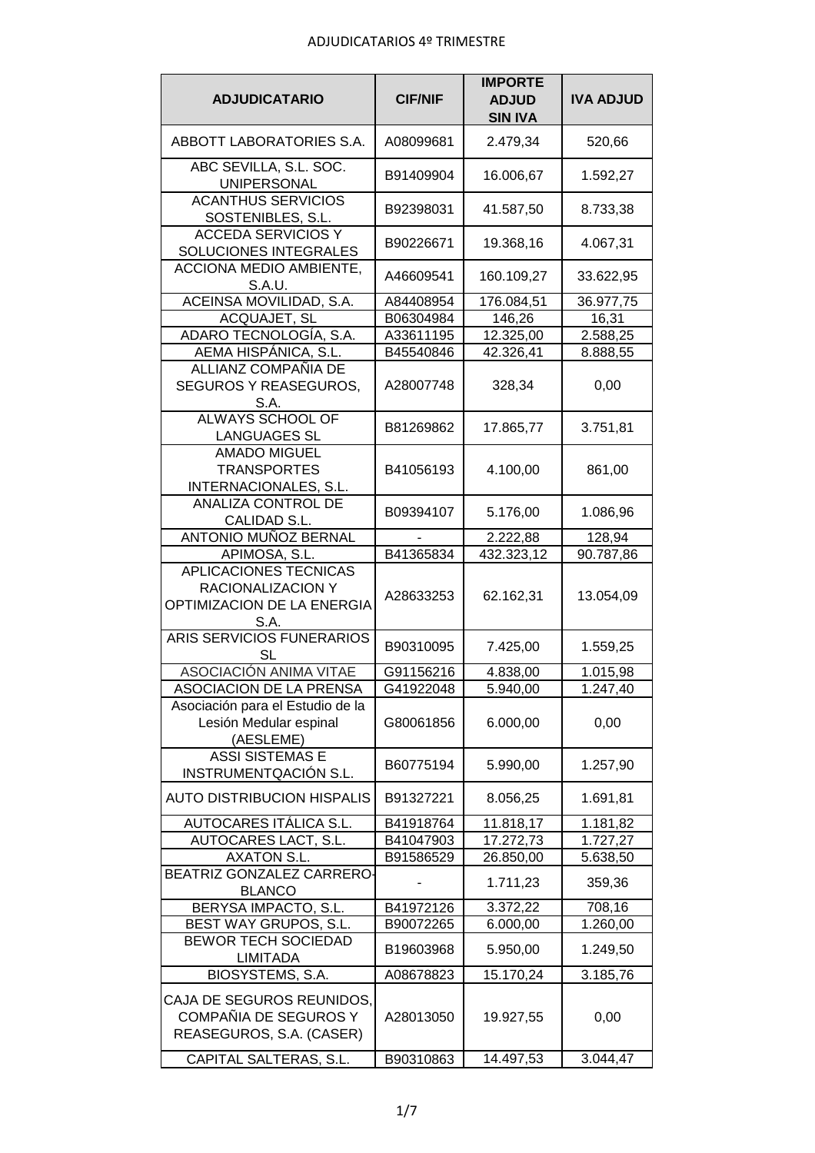| <b>ADJUDICATARIO</b>                                                             | <b>CIF/NIF</b> | <b>IMPORTE</b><br><b>ADJUD</b><br><b>SIN IVA</b> | <b>IVA ADJUD</b> |
|----------------------------------------------------------------------------------|----------------|--------------------------------------------------|------------------|
| ABBOTT LABORATORIES S.A.                                                         | A08099681      | 2.479,34                                         | 520,66           |
| ABC SEVILLA, S.L. SOC.<br><b>UNIPERSONAL</b>                                     | B91409904      | 16.006,67                                        | 1.592,27         |
| <b>ACANTHUS SERVICIOS</b><br>SOSTENIBLES, S.L.                                   | B92398031      | 41.587,50                                        | 8.733,38         |
| <b>ACCEDA SERVICIOS Y</b><br>SOLUCIONES INTEGRALES                               | B90226671      | 19.368,16                                        | 4.067,31         |
| ACCIONA MEDIO AMBIENTE,<br>S.A.U.                                                | A46609541      | 160.109,27                                       | 33.622,95        |
| ACEINSA MOVILIDAD, S.A.                                                          | A84408954      | 176.084,51                                       | 36.977,75        |
| <b>ACQUAJET, SL</b>                                                              | B06304984      | 146,26                                           | 16,31            |
| ADARO TECNOLOGÍA, S.A.                                                           | A33611195      | 12.325,00                                        | 2.588,25         |
| AEMA HISPÁNICA, S.L.                                                             | B45540846      | 42.326,41                                        | 8.888,55         |
| ALLIANZ COMPAÑIA DE<br>SEGUROS Y REASEGUROS,<br>S.A.                             | A28007748      | 328,34                                           | 0,00             |
| <b>ALWAYS SCHOOL OF</b><br><b>LANGUAGES SL</b>                                   | B81269862      | 17.865,77                                        | 3.751,81         |
| <b>AMADO MIGUEL</b><br><b>TRANSPORTES</b><br>INTERNACIONALES, S.L.               | B41056193      | 4.100,00                                         | 861,00           |
| <b>ANALIZA CONTROL DE</b><br>CALIDAD S.L.                                        | B09394107      | 5.176,00                                         | 1.086,96         |
| ANTONIO MUÑOZ BERNAL                                                             |                | 2.222,88                                         | 128,94           |
| APIMOSA, S.L.                                                                    | B41365834      | 432.323,12                                       | 90.787,86        |
| APLICACIONES TECNICAS<br>RACIONALIZACION Y<br>OPTIMIZACION DE LA ENERGIA<br>S.A. | A28633253      | 62.162,31                                        | 13.054,09        |
| <b>ARIS SERVICIOS FUNERARIOS</b><br><b>SL</b>                                    | B90310095      | 7.425,00                                         | 1.559,25         |
| ASOCIACIÓN ANIMA VITAE                                                           | G91156216      | 4.838,00                                         | 1.015,98         |
| <b>ASOCIACION DE LA PRENSA</b>                                                   | G41922048      | 5.940,00                                         | 1.247,40         |
| Asociación para el Estudio de la<br>Lesión Medular espinal<br>(AESLEME)          | G80061856      | 6.000,00                                         | 0,00             |
| <b>ASSI SISTEMAS E</b><br>INSTRUMENTQACIÓN S.L.                                  | B60775194      | 5.990,00                                         | 1.257,90         |
| <b>AUTO DISTRIBUCION HISPALIS</b>                                                | B91327221      | 8.056,25                                         | 1.691,81         |
| AUTOCARES ITÁLICA S.L.                                                           | B41918764      | 11.818,17                                        | 1.181,82         |
| AUTOCARES LACT, S.L.                                                             | B41047903      | 17.272,73                                        | 1.727,27         |
| <b>AXATON S.L</b>                                                                | B91586529      | 26.850,00                                        | 5.638,50         |
| BEATRIZ GONZALEZ CARRERO-<br><b>BLANCO</b>                                       |                | 1.711,23                                         | 359,36           |
| BERYSA IMPACTO, S.L.                                                             | B41972126      | 3.372,22                                         | 708,16           |
| BEST WAY GRUPOS, S.L.                                                            | B90072265      | 6.000,00                                         | 1.260,00         |
| <b>BEWOR TECH SOCIEDAD</b><br><b>LIMITADA</b>                                    | B19603968      | 5.950,00                                         | 1.249,50         |
| BIOSYSTEMS, S.A.                                                                 | A08678823      | 15.170,24                                        | 3.185,76         |
| CAJA DE SEGUROS REUNIDOS,<br>COMPAÑIA DE SEGUROS Y<br>REASEGUROS, S.A. (CASER)   | A28013050      | 19.927,55                                        | 0,00             |
| CAPITAL SALTERAS, S.L.                                                           | B90310863      | 14.497,53                                        | 3.044,47         |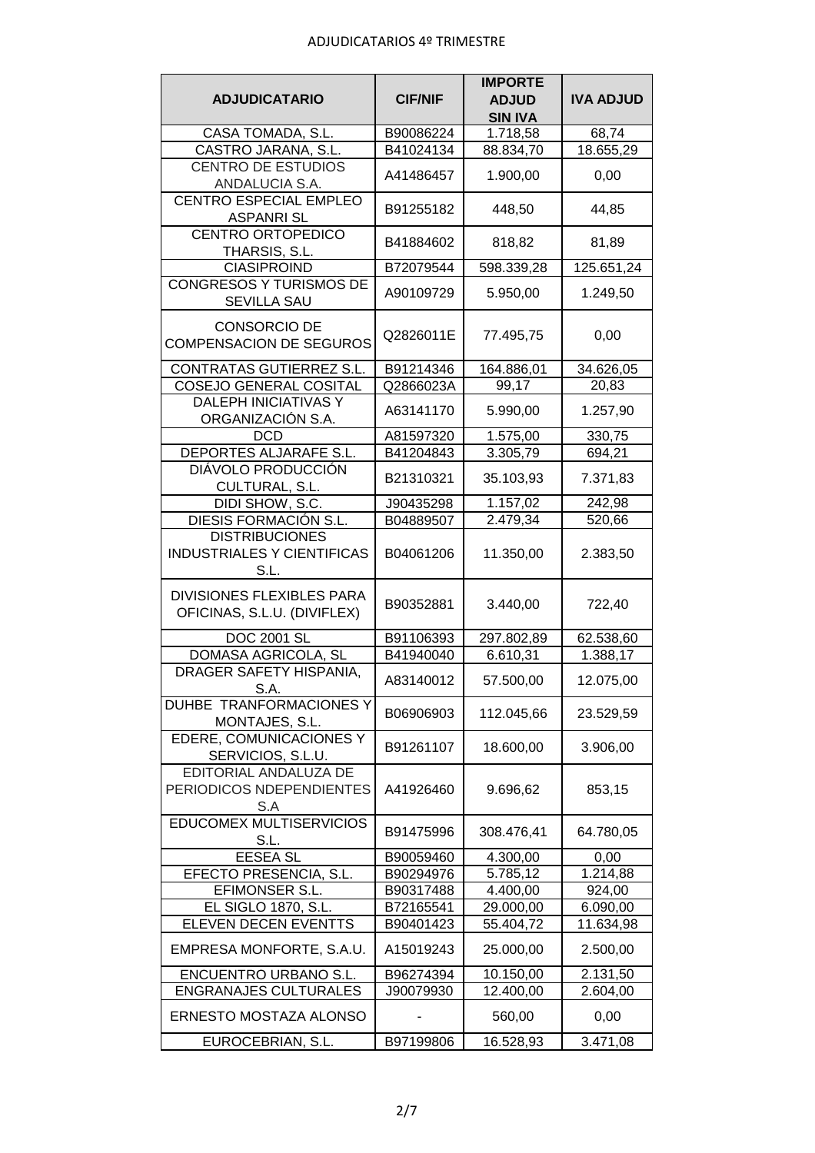| <b>ADJUDICATARIO</b>                                               | <b>CIF/NIF</b> | <b>IMPORTE</b><br><b>ADJUD</b><br><b>SIN IVA</b> | <b>IVA ADJUD</b> |
|--------------------------------------------------------------------|----------------|--------------------------------------------------|------------------|
| CASA TOMADA, S.L.                                                  | B90086224      | 1.718,58                                         | 68,74            |
| CASTRO JARANA, S.L.                                                | B41024134      | 88.834,70                                        | 18.655,29        |
| <b>CENTRO DE ESTUDIOS</b><br>ANDALUCIA S.A.                        | A41486457      | 1.900,00                                         | 0,00             |
| CENTRO ESPECIAL EMPLEO<br><b>ASPANRI SL</b>                        | B91255182      | 448,50                                           | 44,85            |
| <b>CENTRO ORTOPEDICO</b><br>THARSIS, S.L.                          | B41884602      | 818,82                                           | 81,89            |
| <b>CIASIPROIND</b>                                                 | B72079544      | 598.339,28                                       | 125.651,24       |
| CONGRESOS Y TURISMOS DE<br><b>SEVILLA SAU</b>                      | A90109729      | 5.950,00                                         | 1.249,50         |
| <b>CONSORCIO DE</b><br><b>COMPENSACION DE SEGUROS</b>              | Q2826011E      | 77.495,75                                        | 0,00             |
| CONTRATAS GUTIERREZ S.L.                                           | B91214346      | 164.886,01                                       | 34.626,05        |
| COSEJO GENERAL COSITAL                                             | Q2866023A      | 99,17                                            | 20,83            |
| <b>DALEPH INICIATIVAS Y</b><br>ORGANIZACIÓN S.A.                   | A63141170      | 5.990,00                                         | 1.257,90         |
| <b>DCD</b>                                                         | A81597320      | 1.575,00                                         | 330,75           |
| DEPORTES ALJARAFE S.L.                                             | B41204843      | 3.305,79                                         | 694,21           |
| DIÁVOLO PRODUCCIÓN<br>CULTURAL, S.L.                               | B21310321      | 35.103,93                                        | 7.371,83         |
| DIDI SHOW, S.C.                                                    | J90435298      | 1.157,02                                         | 242,98           |
| DIESIS FORMACIÓN S.L.                                              | B04889507      | 2.479,34                                         | 520,66           |
| <b>DISTRIBUCIONES</b><br><b>INDUSTRIALES Y CIENTIFICAS</b><br>S.L. | B04061206      | 11.350,00                                        | 2.383,50         |
| <b>DIVISIONES FLEXIBLES PARA</b><br>OFICINAS, S.L.U. (DIVIFLEX)    | B90352881      | 3.440,00                                         | 722,40           |
| <b>DOC 2001 SL</b>                                                 | B91106393      | 297.802,89                                       | 62.538,60        |
| DOMASA AGRICOLA, SL                                                | B41940040      | 6.610,31                                         | 1.388,17         |
| DRAGER SAFETY HISPANIA,<br><b>S.A.</b>                             | A83140012      | 57.500,00                                        | 12.075,00        |
| DUHBE TRANFORMACIONES Y<br>MONTAJES, S.L.                          | B06906903      | 112.045,66                                       | 23.529,59        |
| EDERE, COMUNICACIONES Y<br>SERVICIOS, S.L.U.                       | B91261107      | 18.600,00                                        | 3.906,00         |
| EDITORIAL ANDALUZA DE<br>PERIODICOS NDEPENDIENTES<br>S.A           | A41926460      | 9.696,62                                         | 853,15           |
| EDUCOMEX MULTISERVICIOS<br>S.L.                                    | B91475996      | 308.476,41                                       | 64.780,05        |
| <b>EESEA SL</b>                                                    | B90059460      | 4.300,00                                         | 0,00             |
| EFECTO PRESENCIA, S.L.                                             | B90294976      | 5.785,12                                         | 1.214,88         |
| EFIMONSER S.L.                                                     | B90317488      | 4.400,00                                         | 924,00           |
| EL SIGLO 1870, S.L.                                                | B72165541      | 29.000,00                                        | 6.090,00         |
| ELEVEN DECEN EVENTTS                                               | B90401423      | 55.404,72                                        | 11.634,98        |
| EMPRESA MONFORTE, S.A.U.                                           | A15019243      | 25.000,00                                        | 2.500,00         |
| ENCUENTRO URBANO S.L.                                              | B96274394      | 10.150,00                                        | 2.131,50         |
| <b>ENGRANAJES CULTURALES</b>                                       | J90079930      | 12.400,00                                        | 2.604,00         |
| ERNESTO MOSTAZA ALONSO                                             |                | 560,00                                           | 0,00             |
| EUROCEBRIAN, S.L.                                                  | B97199806      | 16.528,93                                        | 3.471,08         |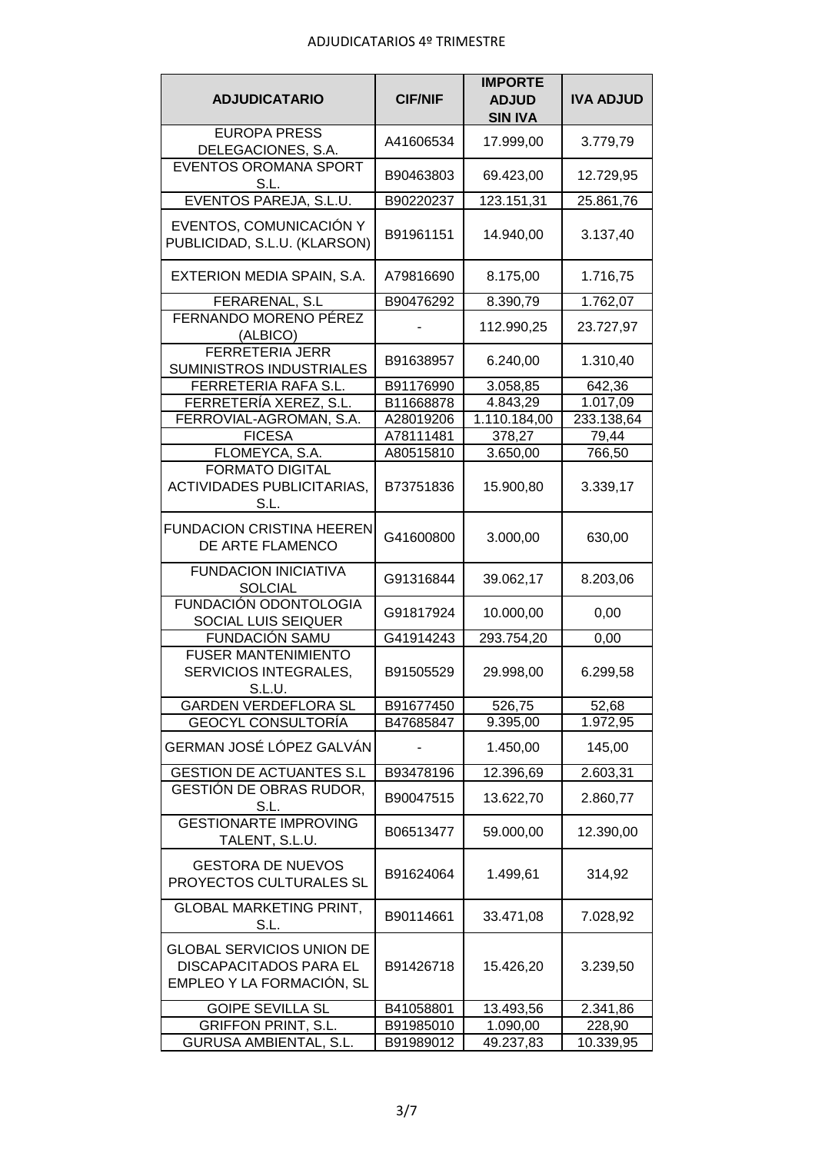| <b>ADJUDICATARIO</b>                                                                    | <b>CIF/NIF</b> | <b>IMPORTE</b><br><b>ADJUD</b><br><b>SIN IVA</b> | <b>IVA ADJUD</b> |
|-----------------------------------------------------------------------------------------|----------------|--------------------------------------------------|------------------|
| <b>EUROPA PRESS</b><br>DELEGACIONES, S.A.                                               | A41606534      | 17.999,00                                        | 3.779,79         |
| <b>EVENTOS OROMANA SPORT</b><br>S.L.                                                    | B90463803      | 69.423,00                                        | 12.729,95        |
| EVENTOS PAREJA, S.L.U.                                                                  | B90220237      | 123.151,31                                       | 25.861,76        |
| EVENTOS, COMUNICACIÓN Y<br>PUBLICIDAD, S.L.U. (KLARSON)                                 | B91961151      | 14.940,00                                        | 3.137,40         |
| EXTERION MEDIA SPAIN, S.A.                                                              | A79816690      | 8.175,00                                         | 1.716,75         |
| FERARENAL, S.L                                                                          | B90476292      | 8.390,79                                         | 1.762,07         |
| FERNANDO MORENO PÉREZ<br>(ALBICO)                                                       |                | 112.990,25                                       | 23.727,97        |
| <b>FERRETERIA JERR</b><br>SUMINISTROS INDUSTRIALES                                      | B91638957      | 6.240,00                                         | 1.310,40         |
| FERRETERIA RAFA S.L.                                                                    | B91176990      | 3.058,85                                         | 642,36           |
| FERRETERÍA XEREZ, S.L.                                                                  | B11668878      | 4.843,29                                         | 1.017,09         |
| FERROVIAL-AGROMAN, S.A.                                                                 | A28019206      | 1.110.184,00                                     | 233.138,64       |
| <b>FICESA</b>                                                                           | A78111481      | 378,27                                           | 79,44            |
| FLOMEYCA, S.A.                                                                          | A80515810      | 3.650,00                                         | 766,50           |
| <b>FORMATO DIGITAL</b><br><b>ACTIVIDADES PUBLICITARIAS,</b><br>S.L.                     | B73751836      | 15.900,80                                        | 3.339,17         |
| <b>FUNDACION CRISTINA HEEREN</b><br>DE ARTE FLAMENCO                                    | G41600800      | 3.000,00                                         | 630,00           |
| <b>FUNDACION INICIATIVA</b><br><b>SOLCIAL</b>                                           | G91316844      | 39.062,17                                        | 8.203,06         |
| FUNDACIÓN ODONTOLOGIA<br>SOCIAL LUIS SEIQUER                                            | G91817924      | 10.000,00                                        | 0,00             |
| <b>FUNDACIÓN SAMU</b>                                                                   | G41914243      | 293.754,20                                       | 0,00             |
| <b>FUSER MANTENIMIENTO</b><br>SERVICIOS INTEGRALES,<br>S.L.U.                           | B91505529      | 29.998,00                                        | 6.299,58         |
| <b>GARDEN VERDEFLORA SL</b>                                                             | B91677450      | 526,75                                           | 52,68            |
| <b>GEOCYL CONSULTORÍA</b>                                                               | B47685847      | 9.395,00                                         | 1.972,95         |
| GERMAN JOSÉ LÓPEZ GALVÁN                                                                |                | 1.450,00                                         | 145,00           |
| <b>GESTION DE ACTUANTES S.L</b>                                                         | B93478196      | 12.396,69                                        | 2.603,31         |
| GESTIÓN DE OBRAS RUDOR,<br>S.L.                                                         | B90047515      | 13.622,70                                        | 2.860,77         |
| <b>GESTIONARTE IMPROVING</b><br>TALENT, S.L.U.                                          | B06513477      | 59.000,00                                        | 12.390,00        |
| <b>GESTORA DE NUEVOS</b><br>PROYECTOS CULTURALES SL                                     | B91624064      | 1.499,61                                         | 314,92           |
| <b>GLOBAL MARKETING PRINT,</b><br>S.L.                                                  | B90114661      | 33.471,08                                        | 7.028,92         |
| <b>GLOBAL SERVICIOS UNION DE</b><br>DISCAPACITADOS PARA EL<br>EMPLEO Y LA FORMACIÓN, SL | B91426718      | 15.426,20                                        | 3.239,50         |
| <b>GOIPE SEVILLA SL</b>                                                                 | B41058801      | 13.493,56                                        | 2.341,86         |
| <b>GRIFFON PRINT, S.L.</b>                                                              | B91985010      | 1.090,00                                         | 228,90           |
| GURUSA AMBIENTAL, S.L.                                                                  | B91989012      | 49.237,83                                        | 10.339,95        |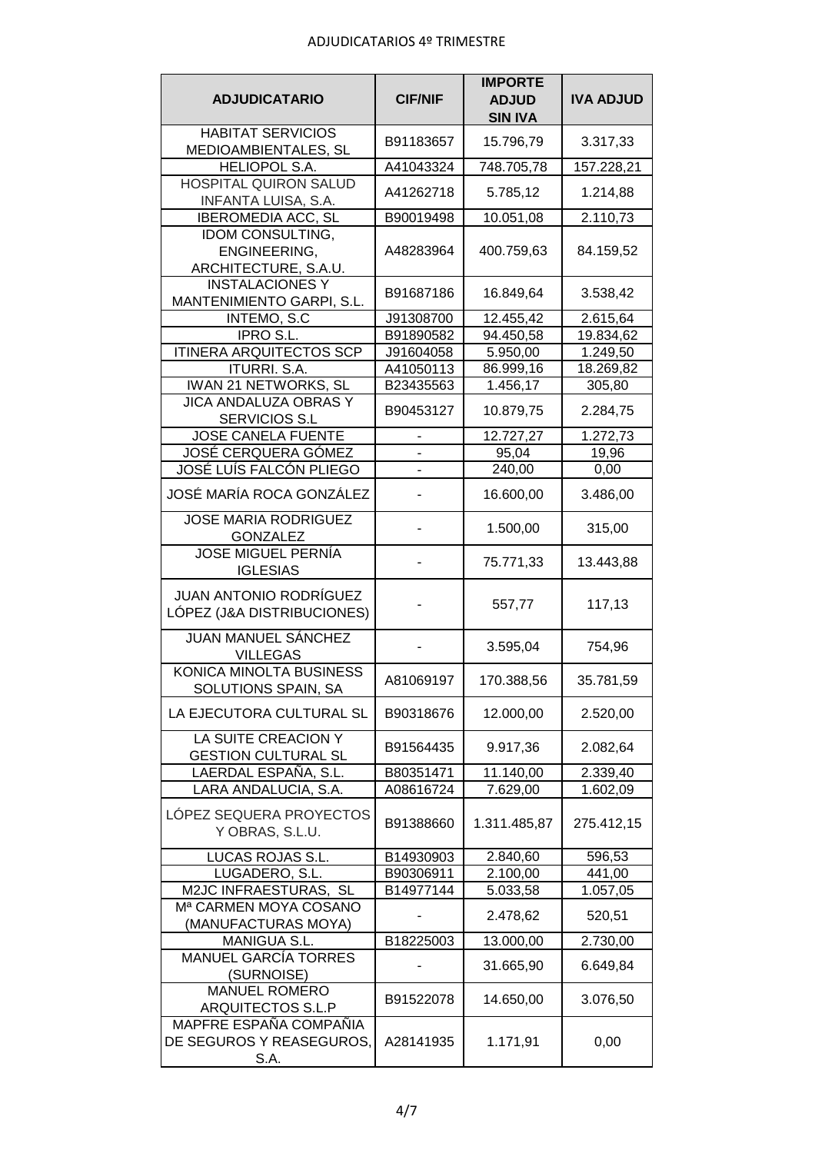| <b>ADJUDICATARIO</b>                                            | <b>CIF/NIF</b> | <b>IMPORTE</b><br><b>ADJUD</b><br><b>SIN IVA</b> | <b>IVA ADJUD</b> |
|-----------------------------------------------------------------|----------------|--------------------------------------------------|------------------|
| <b>HABITAT SERVICIOS</b><br>MEDIOAMBIENTALES, SL                | B91183657      | 15.796,79                                        | 3.317,33         |
| <b>HELIOPOL S.A.</b>                                            | A41043324      | 748.705,78                                       | 157.228,21       |
| HOSPITAL QUIRON SALUD<br><b>INFANTA LUISA, S.A.</b>             | A41262718      | 5.785,12                                         | 1.214,88         |
| <b>IBEROMEDIA ACC, SL</b>                                       | B90019498      | 10.051,08                                        | 2.110,73         |
| <b>IDOM CONSULTING,</b><br>ENGINEERING,<br>ARCHITECTURE, S.A.U. | A48283964      | 400.759,63                                       | 84.159,52        |
| <b>INSTALACIONES Y</b><br>MANTENIMIENTO GARPI, S.L.             | B91687186      | 16.849,64                                        | 3.538,42         |
| INTEMO, S.C                                                     | J91308700      | 12.455,42                                        | 2.615,64         |
| IPRO S.L.                                                       | B91890582      | 94.450,58                                        | 19.834,62        |
| <b>ITINERA ARQUITECTOS SCP</b>                                  | J91604058      | 5.950,00                                         | 1.249,50         |
| <b>ITURRI. S.A.</b>                                             | A41050113      | 86.999,16                                        | 18.269,82        |
| <b>IWAN 21 NETWORKS, SL</b>                                     | B23435563      | 1.456,17                                         | 305,80           |
| JICA ANDALUZA OBRAS Y<br>SERVICIOS S.L                          | B90453127      | 10.879,75                                        | 2.284,75         |
| <b>JOSE CANELA FUENTE</b>                                       |                | 12.727,27                                        | 1.272,73         |
| JOSÉ CERQUERA GÓMEZ                                             |                | 95,04                                            | 19,96            |
| JOSÉ LUÍS FALCÓN PLIEGO                                         |                | 240,00                                           | 0,00             |
| JOSÉ MARÍA ROCA GONZÁLEZ                                        |                | 16.600,00                                        | 3.486,00         |
| <b>JOSE MARIA RODRIGUEZ</b><br><b>GONZALEZ</b>                  |                | 1.500,00                                         | 315,00           |
| <b>JOSE MIGUEL PERNÍA</b><br><b>IGLESIAS</b>                    |                | 75.771,33                                        | 13.443,88        |
| <b>JUAN ANTONIO RODRÍGUEZ</b><br>LÓPEZ (J&A DISTRIBUCIONES)     |                | 557,77                                           | 117,13           |
| <b>JUAN MANUEL SÁNCHEZ</b><br><b>VILLEGAS</b>                   |                | 3.595,04                                         | 754,96           |
| KONICA MINOLTA BUSINESS<br>SOLUTIONS SPAIN, SA                  | A81069197      | 170.388,56                                       | 35.781,59        |
| LA EJECUTORA CULTURAL SL                                        | B90318676      | 12.000,00                                        | 2.520,00         |
| LA SUITE CREACION Y<br><b>GESTION CULTURAL SL</b>               | B91564435      | 9.917,36                                         | 2.082,64         |
| LAERDAL ESPAÑA, S.L.                                            | B80351471      | 11.140,00                                        | 2.339,40         |
| LARA ANDALUCIA, S.A.                                            | A08616724      | 7.629,00                                         | 1.602,09         |
| LÓPEZ SEQUERA PROYECTOS<br>Y OBRAS, S.L.U.                      | B91388660      | 1.311.485,87                                     | 275.412,15       |
| LUCAS ROJAS S.L.                                                | B14930903      | 2.840,60                                         | 596,53           |
| LUGADERO, S.L.                                                  | B90306911      | 2.100,00                                         | 441,00           |
| M2JC INFRAESTURAS, SL                                           | B14977144      | 5.033,58                                         | 1.057,05         |
| M <sup>a</sup> CARMEN MOYA COSANO<br>(MANUFACTURAS MOYA)        |                | 2.478,62                                         | 520,51           |
| MANIGUA S.L.                                                    | B18225003      | 13.000,00                                        | 2.730,00         |
| <b>MANUEL GARCÍA TORRES</b><br>(SURNOISE)                       |                | 31.665,90                                        | 6.649,84         |
| <b>MANUEL ROMERO</b><br>ARQUITECTOS S.L.P                       | B91522078      | 14.650,00                                        | 3.076,50         |
| MAPFRE ESPAÑA COMPAÑIA<br>DE SEGUROS Y REASEGUROS,<br>S.A.      | A28141935      | 1.171,91                                         | 0,00             |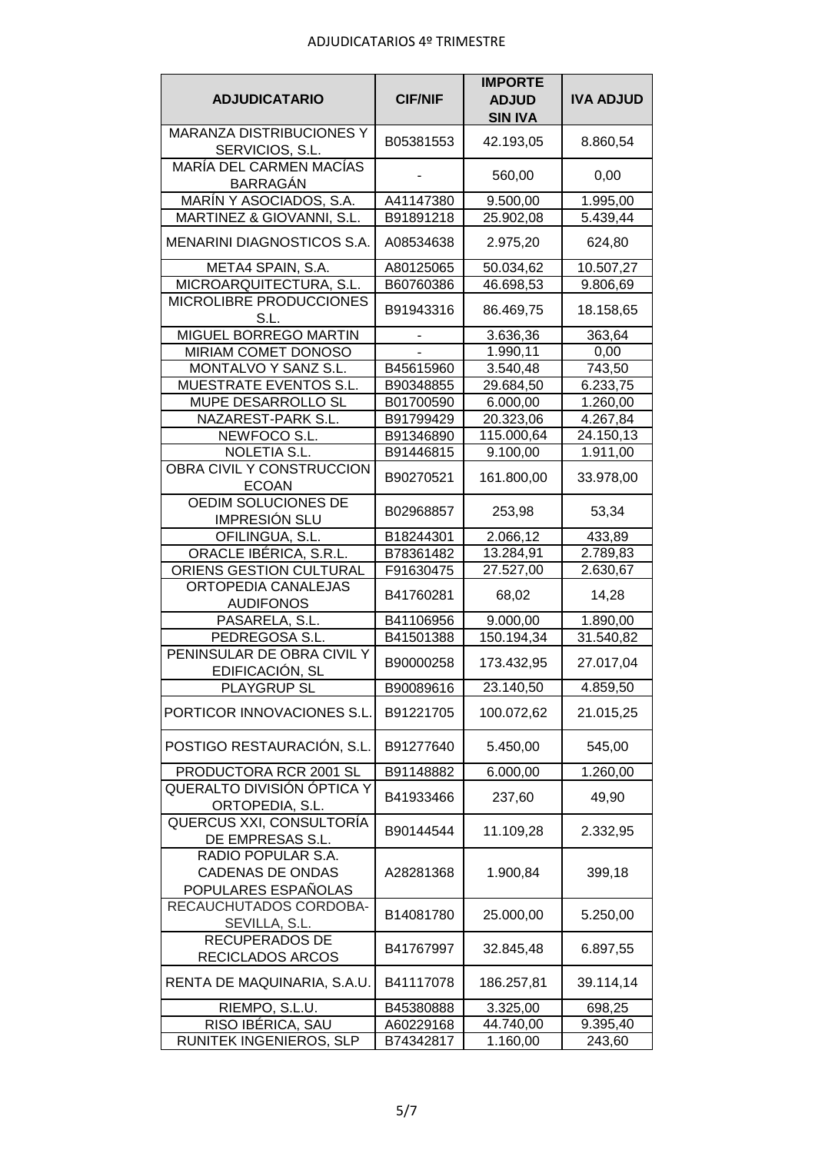| <b>ADJUDICATARIO</b>                                                 | <b>CIF/NIF</b> | <b>IMPORTE</b><br><b>ADJUD</b><br><b>SIN IVA</b> | <b>IVA ADJUD</b> |
|----------------------------------------------------------------------|----------------|--------------------------------------------------|------------------|
| MARANZA DISTRIBUCIONES Y<br>SERVICIOS, S.L.                          | B05381553      | 42.193,05                                        | 8.860,54         |
| MARÍA DEL CARMEN MACÍAS<br><b>BARRAGÁN</b>                           |                | 560,00                                           | 0,00             |
| MARÍN Y ASOCIADOS, S.A.                                              | A41147380      | 9.500,00                                         | 1.995,00         |
| MARTINEZ & GIOVANNI, S.L.                                            | B91891218      | 25.902,08                                        | 5.439,44         |
| MENARINI DIAGNOSTICOS S.A.                                           | A08534638      | 2.975,20                                         | 624,80           |
| META4 SPAIN, S.A.                                                    | A80125065      | 50.034,62                                        | 10.507,27        |
| MICROARQUITECTURA, S.L.                                              | B60760386      | 46.698,53                                        | 9.806,69         |
| MICROLIBRE PRODUCCIONES<br>S.L.                                      | B91943316      | 86.469,75                                        | 18.158,65        |
| MIGUEL BORREGO MARTIN                                                |                | 3.636,36                                         | 363,64           |
| MIRIAM COMET DONOSO                                                  |                | 1.990,11                                         | 0,00             |
| MONTALVO Y SANZ S.L.                                                 | B45615960      | 3.540,48                                         | 743,50           |
| MUESTRATE EVENTOS S.L.                                               | B90348855      | 29.684,50                                        | 6.233,75         |
| MUPE DESARROLLO SL                                                   | B01700590      | 6.000,00                                         | 1.260,00         |
| NAZAREST-PARK S.L.                                                   | B91799429      | 20.323,06                                        | 4.267,84         |
| NEWFOCO S.L.                                                         | B91346890      | 115.000,64                                       | 24.150,13        |
| NOLETIA S.L.                                                         | B91446815      | 9.100,00                                         | 1.911,00         |
| OBRA CIVIL Y CONSTRUCCION<br><b>ECOAN</b>                            | B90270521      | 161.800,00                                       | 33.978,00        |
| OEDIM SOLUCIONES DE<br><b>IMPRESIÓN SLU</b>                          | B02968857      | 253,98                                           | 53,34            |
| OFILINGUA, S.L.                                                      | B18244301      | 2.066,12                                         | 433,89           |
| ORACLE IBÉRICA, S.R.L.                                               | B78361482      | 13.284,91                                        | 2.789,83         |
| ORIENS GESTION CULTURAL                                              | F91630475      | 27.527,00                                        | 2.630,67         |
| ORTOPEDIA CANALEJAS<br><b>AUDIFONOS</b>                              | B41760281      | 68,02                                            | 14,28            |
| PASARELA, S.L.                                                       | B41106956      | 9.000,00                                         | 1.890,00         |
| PEDREGOSA S.L.                                                       | B41501388      | 150.194,34                                       | 31.540,82        |
| PENINSULAR DE OBRA CIVIL Y<br>EDIFICACIÓN, SL                        | B90000258      | 173.432,95                                       | 27.017,04        |
| <b>PLAYGRUP SL</b>                                                   | B90089616      | 23.140,50                                        | 4.859,50         |
| PORTICOR INNOVACIONES S.L.                                           | B91221705      | 100.072,62                                       | 21.015,25        |
| POSTIGO RESTAURACIÓN, S.L.                                           | B91277640      | 5.450,00                                         | 545,00           |
| PRODUCTORA RCR 2001 SL                                               | B91148882      | 6.000,00                                         | 1.260,00         |
| QUERALTO DIVISIÓN ÓPTICA Y<br>ORTOPEDIA, S.L.                        | B41933466      | 237,60                                           | 49,90            |
| QUERCUS XXI, CONSULTORÍA<br>DE EMPRESAS S.L.                         | B90144544      | 11.109,28                                        | 2.332,95         |
| RADIO POPULAR S.A.<br><b>CADENAS DE ONDAS</b><br>POPULARES ESPAÑOLAS | A28281368      | 1.900,84                                         | 399,18           |
| RECAUCHUTADOS CORDOBA-<br>SEVILLA, S.L.                              | B14081780      | 25.000,00                                        | 5.250,00         |
| <b>RECUPERADOS DE</b><br>RECICLADOS ARCOS                            | B41767997      | 32.845,48                                        | 6.897,55         |
| RENTA DE MAQUINARIA, S.A.U.                                          | B41117078      | 186.257,81                                       | 39.114,14        |
| RIEMPO, S.L.U.                                                       | B45380888      | 3.325,00                                         | 698,25           |
| RISO IBÉRICA, SAU                                                    | A60229168      | 44.740,00                                        | 9.395,40         |
| RUNITEK INGENIEROS, SLP                                              | B74342817      | 1.160,00                                         | 243,60           |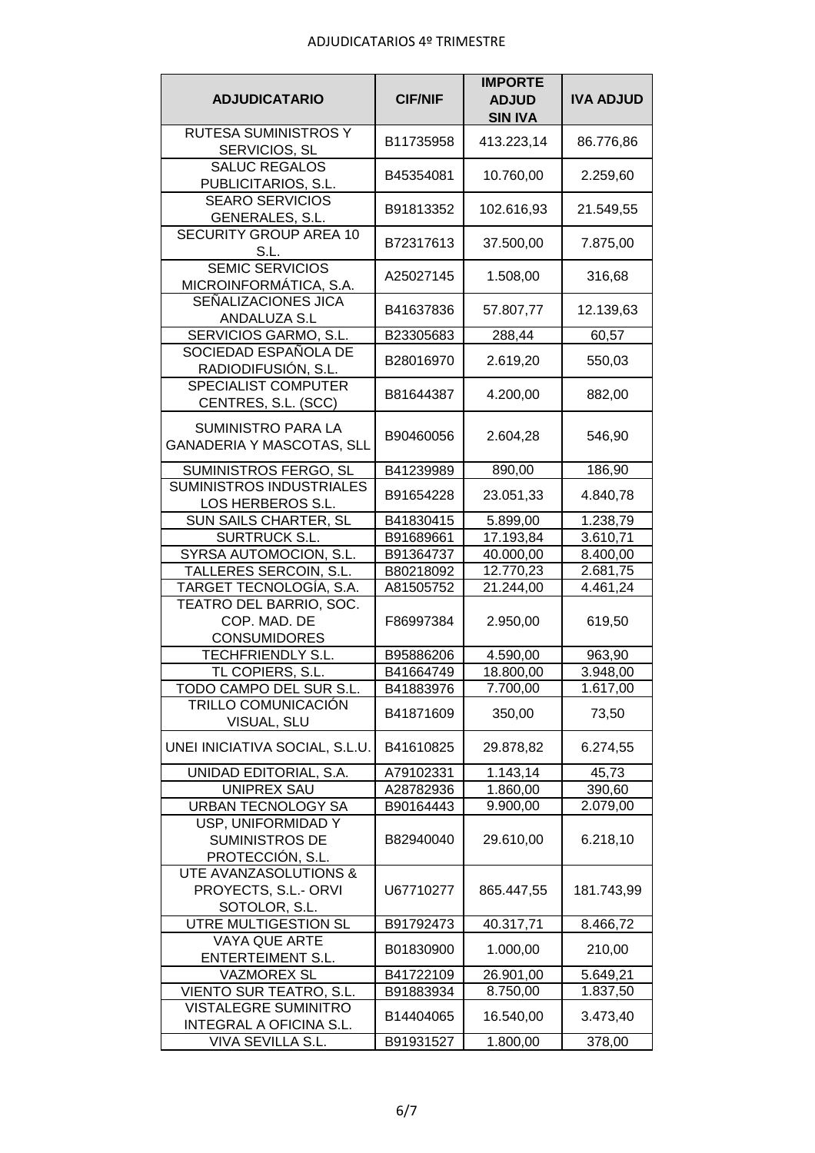| <b>ADJUDICATARIO</b>                                           | <b>CIF/NIF</b> | <b>IMPORTE</b><br><b>ADJUD</b><br><b>SIN IVA</b> | <b>IVA ADJUD</b> |
|----------------------------------------------------------------|----------------|--------------------------------------------------|------------------|
| RUTESA SUMINISTROS Y<br>SERVICIOS, SL                          | B11735958      | 413.223,14                                       | 86.776,86        |
| <b>SALUC REGALOS</b><br>PUBLICITARIOS, S.L.                    | B45354081      | 10.760,00                                        | 2.259,60         |
| <b>SEARO SERVICIOS</b><br>GENERALES, S.L.                      | B91813352      | 102.616,93                                       | 21.549,55        |
| SECURITY GROUP AREA 10<br>S.L.                                 | B72317613      | 37.500,00                                        | 7.875,00         |
| <b>SEMIC SERVICIOS</b><br>MICROINFORMÁTICA, S.A.               | A25027145      | 1.508,00                                         | 316,68           |
| SEÑALIZACIONES JICA<br>ANDALUZA S.L                            | B41637836      | 57.807,77                                        | 12.139,63        |
| SERVICIOS GARMO, S.L.                                          | B23305683      | 288,44                                           | 60,57            |
| SOCIEDAD ESPAÑOLA DE<br>RADIODIFUSIÓN, S.L.                    | B28016970      | 2.619,20                                         | 550,03           |
| SPECIALIST COMPUTER<br>CENTRES, S.L. (SCC)                     | B81644387      | 4.200,00                                         | 882,00           |
| <b>SUMINISTRO PARA LA</b><br><b>GANADERIA Y MASCOTAS, SLL</b>  | B90460056      | 2.604,28                                         | 546,90           |
| SUMINISTROS FERGO, SL                                          | B41239989      | 890,00                                           | 186,90           |
| <b>SUMINISTROS INDUSTRIALES</b><br>LOS HERBEROS S.L.           | B91654228      | 23.051,33                                        | 4.840,78         |
| SUN SAILS CHARTER, SL                                          | B41830415      | 5.899,00                                         | 1.238,79         |
| <b>SURTRUCK S.L.</b>                                           | B91689661      | 17.193,84                                        | 3.610,71         |
| SYRSA AUTOMOCION, S.L.                                         | B91364737      | 40.000,00                                        | 8.400,00         |
| TALLERES SERCOIN, S.L.                                         | B80218092      | 12.770,23                                        | 2.681,75         |
| TARGET TECNOLOGÍA, S.A.                                        | A81505752      | 21.244,00                                        | 4.461,24         |
| TEATRO DEL BARRIO, SOC.<br>COP. MAD. DE<br><b>CONSUMIDORES</b> | F86997384      | 2.950,00                                         | 619,50           |
| TECHFRIENDLY S.L.                                              | B95886206      | 4.590,00                                         | 963,90           |
| TL COPIERS, S.L.                                               | B41664749      | 18.800,00                                        | 3.948,00         |
| TODO CAMPO DEL SUR S.L.                                        | B41883976      | 7.700,00                                         | 1.617,00         |
| TRILLO COMUNICACIÓN<br>VISUAL, SLU                             | B41871609      | 350,00                                           | 73,50            |
| UNEI INICIATIVA SOCIAL, S.L.U.                                 | B41610825      | 29.878,82                                        | 6.274,55         |
| UNIDAD EDITORIAL, S.A.                                         | A79102331      | 1.143,14                                         | 45,73            |
| <b>UNIPREX SAU</b>                                             | A28782936      | 1.860,00                                         | 390,60           |
| URBAN TECNOLOGY SA                                             | B90164443      | 9.900,00                                         | 2.079,00         |
| USP, UNIFORMIDAD Y<br>SUMINISTROS DE<br>PROTECCIÓN, S.L.       | B82940040      | 29.610,00                                        | 6.218,10         |
| UTE AVANZASOLUTIONS &<br>PROYECTS, S.L.- ORVI<br>SOTOLOR, S.L. | U67710277      | 865.447,55                                       | 181.743,99       |
| UTRE MULTIGESTION SL                                           | B91792473      | 40.317,71                                        | 8.466,72         |
| VAYA QUE ARTE<br><b>ENTERTEIMENT S.L.</b>                      | B01830900      | 1.000,00                                         | 210,00           |
| <b>VAZMOREX SL</b>                                             | B41722109      | 26.901,00                                        | 5.649,21         |
| VIENTO SUR TEATRO, S.L.                                        | B91883934      | 8.750,00                                         | 1.837,50         |
| <b>VISTALEGRE SUMINITRO</b><br>INTEGRAL A OFICINA S.L.         | B14404065      | 16.540,00                                        | 3.473,40         |
| VIVA SEVILLA S.L.                                              | B91931527      | 1.800,00                                         | 378,00           |